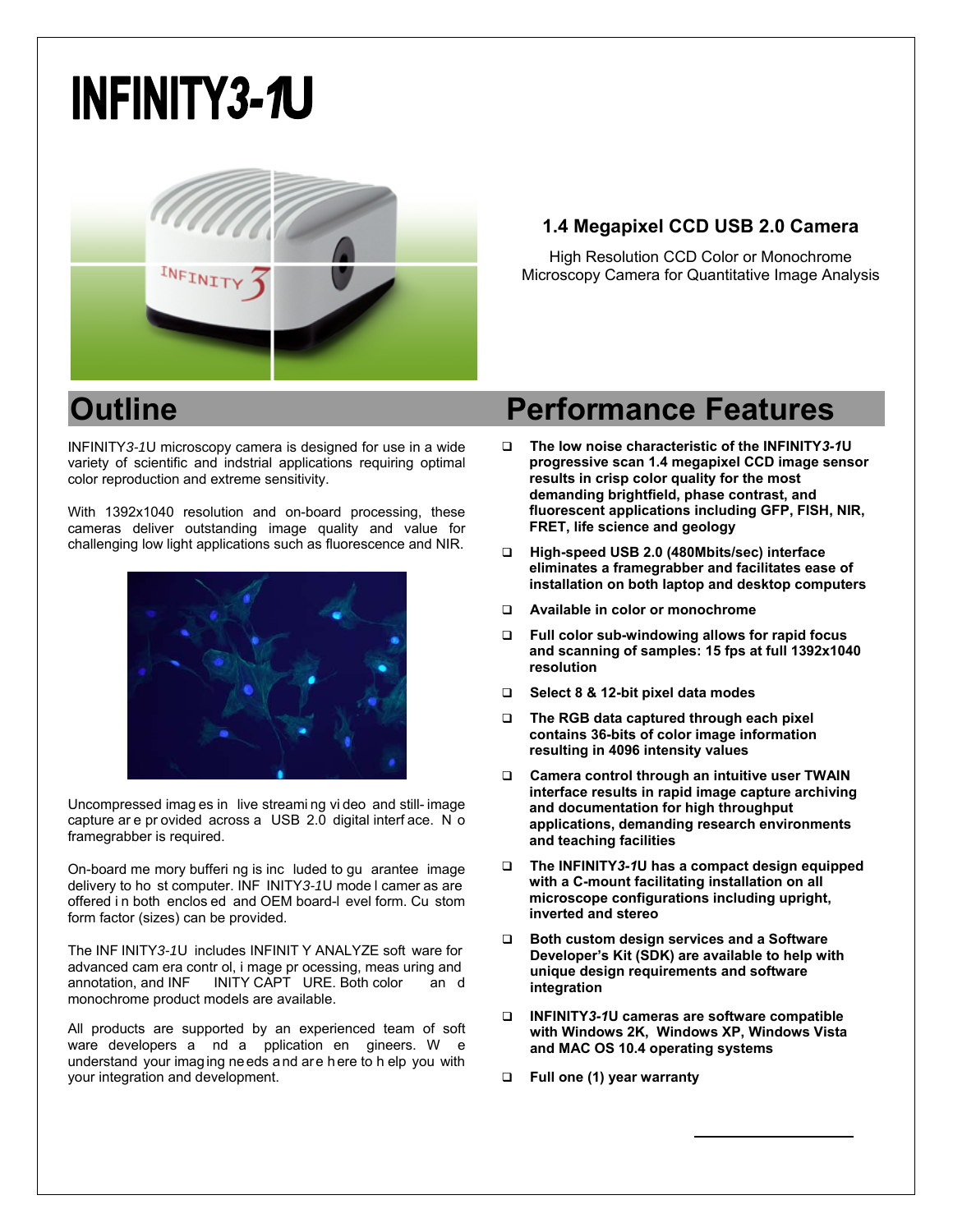# **INFINITY3-1U**



## **1.4 Megapixel CCD USB 2.0 Camera**

High Resolution CCD Color or Monochrome Microscopy Camera for Quantitative Image Analysis

INFINITY*3-1*U microscopy camera is designed for use in a wide variety of scientific and indstrial applications requiring optimal color reproduction and extreme sensitivity.

With 1392x1040 resolution and on-board processing, these cameras deliver outstanding image quality and value for challenging low light applications such as fluorescence and NIR.



Uncompressed imag es in live streami ng vi deo and still- image capture ar e pr ovided across a USB 2.0 digital interf ace. N o framegrabber is required.

On-board me mory bufferi ng is inc luded to gu arantee image delivery to ho st computer. INF INITY*3-1*U mode l camer as are offered i n both enclos ed and OEM board-l evel form. Cu stom form factor (sizes) can be provided.

The INF INITY*3-1*U includes INFINIT Y ANALYZE soft ware for advanced cam era contr ol, i mage pr ocessing, meas uring and INITY CAPT URE. Both color and monochrome product models are available.

All products are supported by an experienced team of soft ware developers a nd a pplication en gineers. W e understand your imaging needs and are here to h elp you with your integration and development.

## **Outline Performance Features**

- **The low noise characteristic of the INFINITY***3-1***U progressive scan 1.4 megapixel CCD image sensor results in crisp color quality for the most demanding brightfield, phase contrast, and fluorescent applications including GFP, FISH, NIR, FRET, life science and geology**
- **High-speed USB 2.0 (480Mbits/sec) interface eliminates a framegrabber and facilitates ease of installation on both laptop and desktop computers**
- **Available in color or monochrome**
- **Full color sub-windowing allows for rapid focus and scanning of samples: 15 fps at full 1392x1040 resolution**
- **Select 8 & 12-bit pixel data modes**
- **The RGB data captured through each pixel contains 36-bits of color image information resulting in 4096 intensity values**
- **Camera control through an intuitive user TWAIN interface results in rapid image capture archiving and documentation for high throughput applications, demanding research environments and teaching facilities**
- **The INFINITY***3-1***U has a compact design equipped with a C-mount facilitating installation on all microscope configurations including upright, inverted and stereo**
- **Both custom design services and a Software Developer's Kit (SDK) are available to help with unique design requirements and software integration**
- **INFINITY***3-1***U cameras are software compatible with Windows 2K, Windows XP, Windows Vista and MAC OS 10.4 operating systems**
- **Full one (1) year warranty**